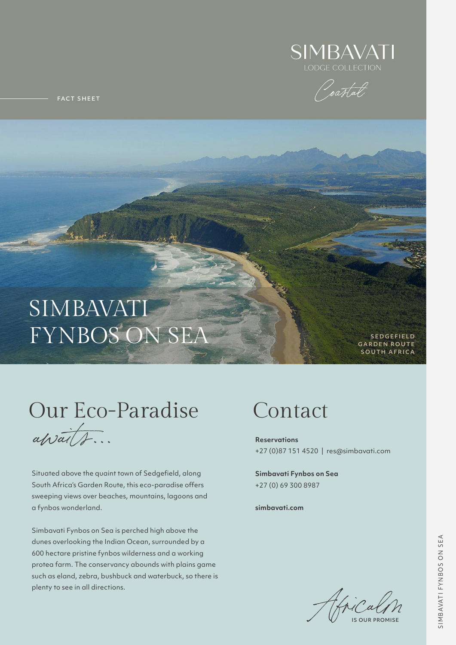### SIMBAVATI FYNBOS ON SEA

Situated above the quaint town of Sedgefield, along South Africa's Garden Route, this eco-paradise offers sweeping views over beaches, mountains, lagoons and a fynbos wonderland.

Simbavati Fynbos on Sea is perched high above the dunes overlooking the Indian Ocean, surrounded by a 600 hectare pristine fynbos wilderness and a working protea farm. The conservancy abounds with plains game such as eland, zebra, bushbuck and waterbuck, so there is plenty to see in all directions.

**Reservations** +27 (0)87 151 4520 | res@simbavati.com

**Simbavati Fynbos on Sea** +27 (0) 69 300 8987

#### **simbavati.com**

# Our Eco-Paradise Contact

*awaits...*







FACT SHEET

**SEDGEFIELD GARDEN ROUTE SOUTH AFRICA**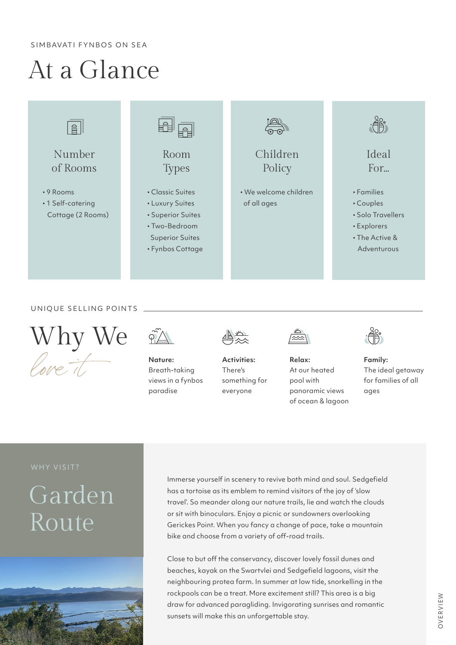SIMBAVATI FYNBOS ON SEA

## At a Glance

#### UNIQUE SELLING POINTS

#### WHY VISIT?





**Nature:** Breath-taking views in a fynbos paradise



**Activities:** There's something for everyone



**Relax:** At our heated pool with panoramic views of ocean & lagoon



**Family:** The ideal getaway for families of all ages



Immerse yourself in scenery to revive both mind and soul. Sedgefield

has a tortoise as its emblem to remind visitors of the joy of 'slow travel'. So meander along our nature trails, lie and watch the clouds or sit with binoculars. Enjoy a picnic or sundowners overlooking Gerickes Point. When you fancy a change of pace, take a mountain bike and choose from a variety of off-road trails.

Close to but off the conservancy, discover lovely fossil dunes and beaches, kayak on the Swartvlei and Sedgefield lagoons, visit the neighbouring protea farm. In summer at low tide, snorkelling in the rockpools can be a treat. More excitement still? This area is a big draw for advanced paragliding. Invigorating sunrises and romantic sunsets will make this an unforgettable stay.

### Garden Route



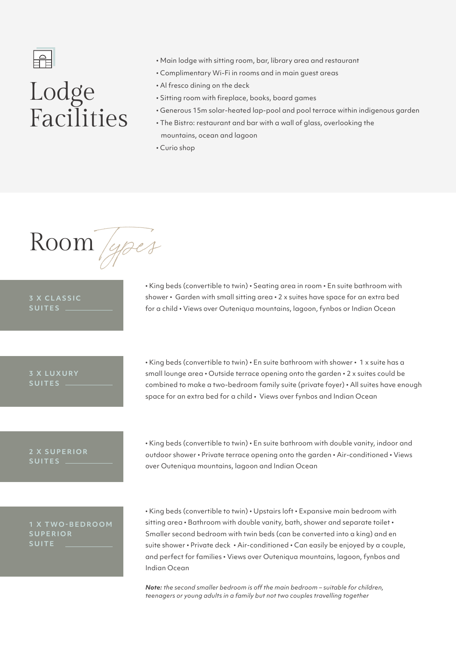

### Lodge Facilities

- � Main lodge with sitting room, bar, library area and restaurant
- � Complimentary Wi-Fi in rooms and in main guest areas
- � Al fresco dining on the deck
- � Sitting room with fireplace, books, board games
- � Generous 15m solar-heated lap-pool and pool terrace within indigenous garden
- � The Bistro: restaurant and bar with a wall of glass, overlooking the mountains, ocean and lagoon
- Curio shop

• King beds (convertible to twin) • En suite bathroom with shower • 1 x suite has a small lounge area • Outside terrace opening onto the garden • 2 x suites could be combined to make a two-bedroom family suite (private foyer) • All suites have enough space for an extra bed for a child • Views over fynbos and Indian Ocean

� King beds (convertible to twin) � Seating area in room � En suite bathroom with shower • Garden with small sitting area • 2 x suites have space for an extra bed for a child � Views over Outeniqua mountains, lagoon, fynbos or Indian Ocean

• King beds (convertible to twin) • Upstairs loft • Expansive main bedroom with sitting area . Bathroom with double vanity, bath, shower and separate toilet . Smaller second bedroom with twin beds (can be converted into a king) and en suite shower • Private deck • Air-conditioned • Can easily be enjoyed by a couple, and perfect for families � Views over Outeniqua mountains, lagoon, fynbos and Indian Ocean

� King beds (convertible to twin) � En suite bathroom with double vanity, indoor and outdoor shower • Private terrace opening onto the garden • Air-conditioned • Views over Outeniqua mountains, lagoon and Indian Ocean

### **3 X CLASSIC SUITES**

#### **3 X LUXURY SUITES**

### **2 X SUPERIOR SUITES**

*Note: the second smaller bedroom is off the main bedroom – suitable for children, teenagers or young adults in a family but not two couples travelling together*

**1 X TWO-BEDROOM SUPERIOR SUITE** 

Room *Types*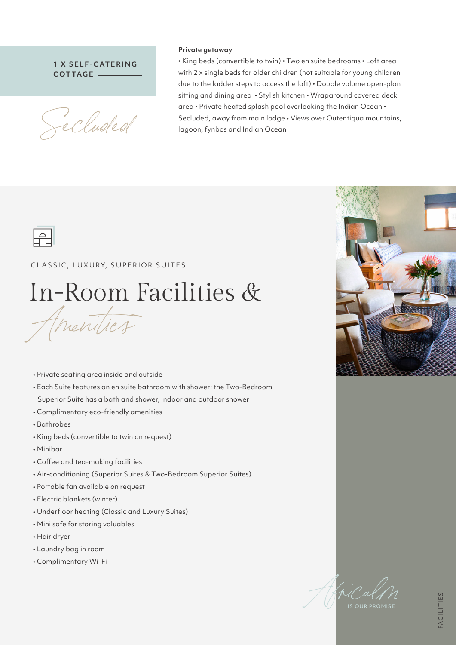• Private seating area inside and outside

- Each Suite features an en suite bathroom with shower; the Two-Bedroom Superior Suite has a bath and shower, indoor and outdoor shower
- Complimentary eco-friendly amenities
- Bathrobes
- King beds (convertible to twin on request)
- Minibar
- Coffee and tea-making facilities
- Air-conditioning (Superior Suites & Two-Bedroom Superior Suites)
- 



- Portable fan available on request
- Electric blankets (winter)
- Underfloor heating (Classic and Luxury Suites)
- Mini safe for storing valuables
- Hair dryer
- Laundry bag in room
- Complimentary Wi-Fi

• King beds (convertible to twin) • Two en suite bedrooms • Loft area with 2 x single beds for older children (not suitable for young children due to the ladder steps to access the loft) . Double volume open-plan sitting and dining area • Stylish kitchen • Wraparound covered deck area • Private heated splash pool overlooking the Indian Ocean • Secluded, away from main lodge • Views over Outentiqua mountains, lagoon, fynbos and Indian Ocean



#### CLASSIC, LUXURY, SUPERIOR SUITES

## *Amenities* In-Room Facilities &

#### **Private getaway**

#### **1 X SELF-CATERING COT TAGE**

*Secluded*

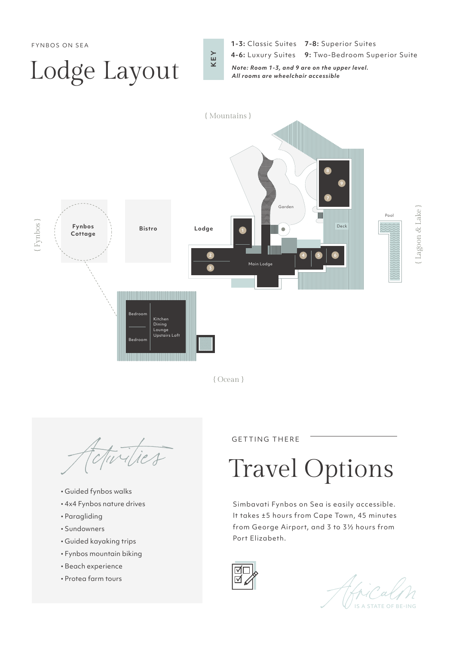GETTING THERE

- � Guided fynbos walks
- � 4x4 Fynbos nature drives
- Paragliding
- Sundowners
- � Guided kayaking trips
- � Fynbos mountain biking
- � Beach experience
- � Protea farm tours

*Activities* Travel Options

Simbavati Fynbos on Sea is easily accessible. It takes ±5 hours from Cape Town, 45 minutes from George Airport, and 3 to 3½ hours from Port Elizabeth.





## Lodge Layout

- **KEY**
- FYNBOS ON SEA **1-3:** Classic Suites **7-8:** Superior Suites
	- **4-6:** Luxury Suites **9:** Two-Bedroom Superior Suite

*Note: Room 1-3, and 9 are on the upper level. All rooms are wheelchair accessible*



{ Ocean }